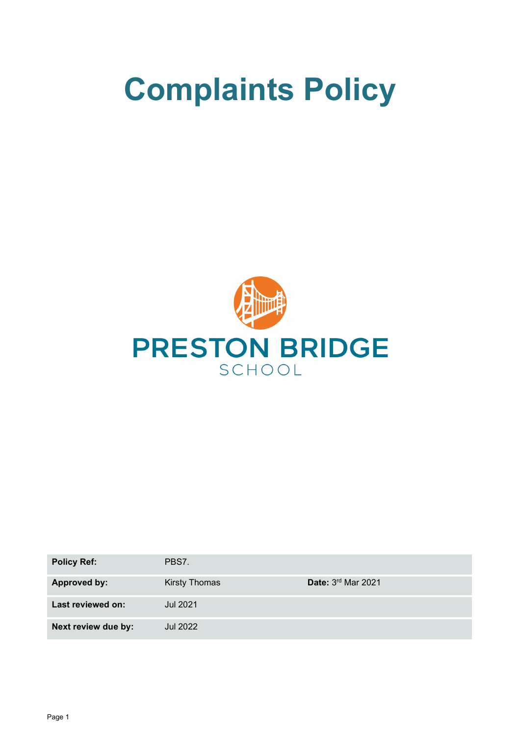# **Complaints Policy**



| <b>Policy Ref:</b>  | PBS7.                |                           |
|---------------------|----------------------|---------------------------|
| <b>Approved by:</b> | <b>Kirsty Thomas</b> | <b>Date: 3rd Mar 2021</b> |
| Last reviewed on:   | <b>Jul 2021</b>      |                           |
| Next review due by: | Jul 2022             |                           |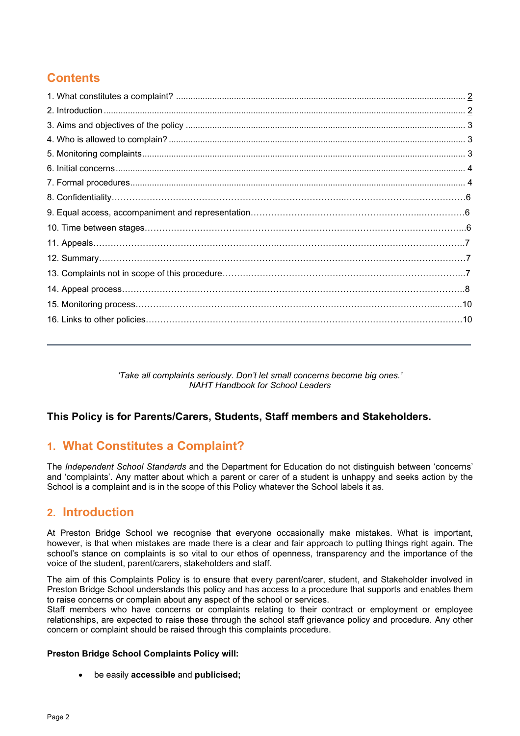# **Contents**

*'Take all complaints seriously. Don't let small concerns become big ones.' NAHT Handbook for School Leaders*

## **This Policy is for Parents/Carers, Students, Staff members and Stakeholders.**

# **1. What Constitutes a Complaint?**

The *Independent School Standards* and the Department for Education do not distinguish between 'concerns' and 'complaints'. Any matter about which a parent or carer of a student is unhappy and seeks action by the School is a complaint and is in the scope of this Policy whatever the School labels it as.

## **2. Introduction**

At Preston Bridge School we recognise that everyone occasionally make mistakes. What is important, however, is that when mistakes are made there is a clear and fair approach to putting things right again. The school's stance on complaints is so vital to our ethos of openness, transparency and the importance of the voice of the student, parent/carers, stakeholders and staff.

The aim of this Complaints Policy is to ensure that every parent/carer, student, and Stakeholder involved in Preston Bridge School understands this policy and has access to a procedure that supports and enables them to raise concerns or complain about any aspect of the school or services.

Staff members who have concerns or complaints relating to their contract or employment or employee relationships, are expected to raise these through the school staff grievance policy and procedure. Any other concern or complaint should be raised through this complaints procedure.

## **Preston Bridge School Complaints Policy will:**

• be easily **accessible** and **publicised;**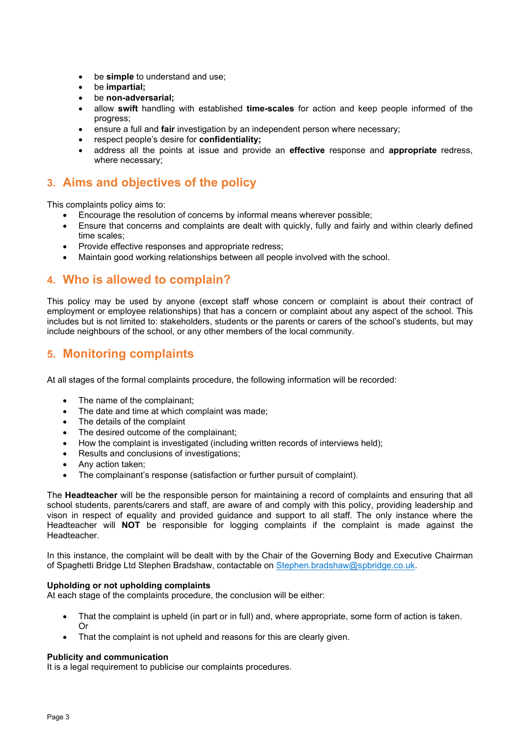- be **simple** to understand and use;
- be **impartial;**
- be **non-adversarial;**
- allow **swift** handling with established **time-scales** for action and keep people informed of the progress;
- ensure a full and **fair** investigation by an independent person where necessary;
- respect people's desire for **confidentiality;**
- address all the points at issue and provide an **effective** response and **appropriate** redress, where necessary;

## **3. Aims and objectives of the policy**

This complaints policy aims to:

- Encourage the resolution of concerns by informal means wherever possible;
- Ensure that concerns and complaints are dealt with quickly, fully and fairly and within clearly defined time scales;
- Provide effective responses and appropriate redress;
- Maintain good working relationships between all people involved with the school.

## **4. Who is allowed to complain?**

This policy may be used by anyone (except staff whose concern or complaint is about their contract of employment or employee relationships) that has a concern or complaint about any aspect of the school. This includes but is not limited to: stakeholders, students or the parents or carers of the school's students, but may include neighbours of the school, or any other members of the local community.

## **5. Monitoring complaints**

At all stages of the formal complaints procedure, the following information will be recorded:

- The name of the complainant;
- The date and time at which complaint was made;
- The details of the complaint
- The desired outcome of the complainant;
- How the complaint is investigated (including written records of interviews held);
- Results and conclusions of investigations;
- Any action taken;
- The complainant's response (satisfaction or further pursuit of complaint).

The **Headteacher** will be the responsible person for maintaining a record of complaints and ensuring that all school students, parents/carers and staff, are aware of and comply with this policy, providing leadership and vison in respect of equality and provided guidance and support to all staff. The only instance where the Headteacher will **NOT** be responsible for logging complaints if the complaint is made against the Headteacher.

In this instance, the complaint will be dealt with by the Chair of the Governing Body and Executive Chairman of Spaghetti Bridge Ltd Stephen Bradshaw, contactable on [Stephen.bradshaw@spbridge.co.uk.](mailto:Stephen.bradshaw@spbridge.co.uk)

## **Upholding or not upholding complaints**

At each stage of the complaints procedure, the conclusion will be either:

- That the complaint is upheld (in part or in full) and, where appropriate, some form of action is taken. Or
- That the complaint is not upheld and reasons for this are clearly given.

#### **Publicity and communication**

It is a legal requirement to publicise our complaints procedures.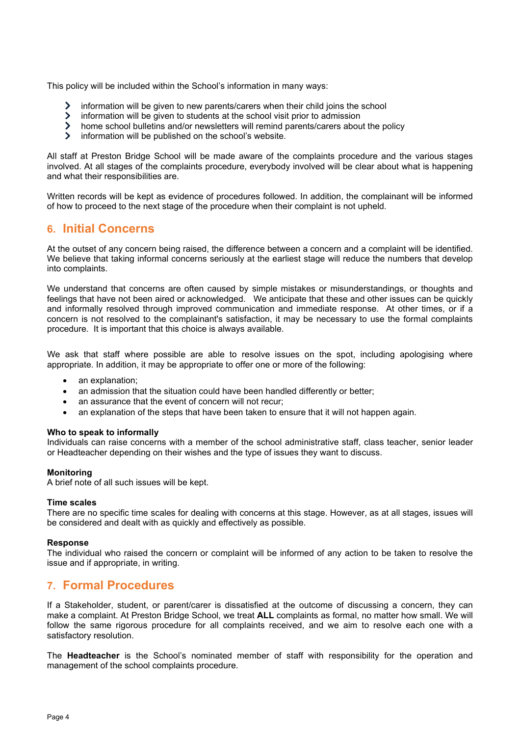This policy will be included within the School's information in many ways:

- information will be given to new parents/carers when their child joins the school  $\blacktriangleright$
- $\sum$ information will be given to students at the school visit prior to admission
- $\sum$ home school bulletins and/or newsletters will remind parents/carers about the policy
- $\blacktriangleright$ information will be published on the school's website.

All staff at Preston Bridge School will be made aware of the complaints procedure and the various stages involved. At all stages of the complaints procedure, everybody involved will be clear about what is happening and what their responsibilities are.

Written records will be kept as evidence of procedures followed. In addition, the complainant will be informed of how to proceed to the next stage of the procedure when their complaint is not upheld.

## **6. Initial Concerns**

At the outset of any concern being raised, the difference between a concern and a complaint will be identified. We believe that taking informal concerns seriously at the earliest stage will reduce the numbers that develop into complaints.

We understand that concerns are often caused by simple mistakes or misunderstandings, or thoughts and feelings that have not been aired or acknowledged. We anticipate that these and other issues can be quickly and informally resolved through improved communication and immediate response. At other times, or if a concern is not resolved to the complainant's satisfaction, it may be necessary to use the formal complaints procedure. It is important that this choice is always available.

We ask that staff where possible are able to resolve issues on the spot, including apologising where appropriate. In addition, it may be appropriate to offer one or more of the following:

- an explanation:
- an admission that the situation could have been handled differently or better;
- an assurance that the event of concern will not recur;
- an explanation of the steps that have been taken to ensure that it will not happen again.

#### **Who to speak to informally**

Individuals can raise concerns with a member of the school administrative staff, class teacher, senior leader or Headteacher depending on their wishes and the type of issues they want to discuss.

## **Monitoring**

A brief note of all such issues will be kept.

#### **Time scales**

There are no specific time scales for dealing with concerns at this stage. However, as at all stages, issues will be considered and dealt with as quickly and effectively as possible.

#### **Response**

The individual who raised the concern or complaint will be informed of any action to be taken to resolve the issue and if appropriate, in writing.

## **7. Formal Procedures**

If a Stakeholder, student, or parent/carer is dissatisfied at the outcome of discussing a concern, they can make a complaint. At Preston Bridge School, we treat **ALL** complaints as formal, no matter how small. We will follow the same rigorous procedure for all complaints received, and we aim to resolve each one with a satisfactory resolution.

The **Headteacher** is the School's nominated member of staff with responsibility for the operation and management of the school complaints procedure.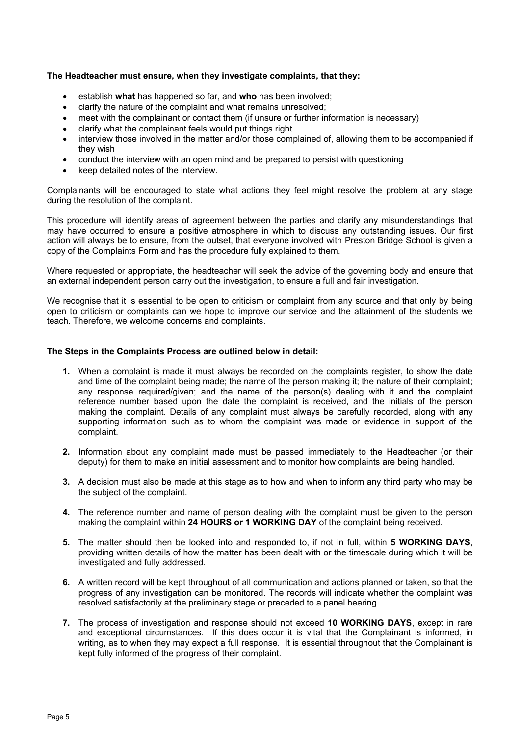#### **The Headteacher must ensure, when they investigate complaints, that they:**

- establish **what** has happened so far, and **who** has been involved;
- clarify the nature of the complaint and what remains unresolved;
- meet with the complainant or contact them (if unsure or further information is necessary)
- clarify what the complainant feels would put things right
- interview those involved in the matter and/or those complained of, allowing them to be accompanied if they wish
- conduct the interview with an open mind and be prepared to persist with questioning
- keep detailed notes of the interview.

Complainants will be encouraged to state what actions they feel might resolve the problem at any stage during the resolution of the complaint.

This procedure will identify areas of agreement between the parties and clarify any misunderstandings that may have occurred to ensure a positive atmosphere in which to discuss any outstanding issues. Our first action will always be to ensure, from the outset, that everyone involved with Preston Bridge School is given a copy of the Complaints Form and has the procedure fully explained to them.

Where requested or appropriate, the headteacher will seek the advice of the governing body and ensure that an external independent person carry out the investigation, to ensure a full and fair investigation.

We recognise that it is essential to be open to criticism or complaint from any source and that only by being open to criticism or complaints can we hope to improve our service and the attainment of the students we teach. Therefore, we welcome concerns and complaints.

#### **The Steps in the Complaints Process are outlined below in detail:**

- **1.** When a complaint is made it must always be recorded on the complaints register, to show the date and time of the complaint being made; the name of the person making it; the nature of their complaint; any response required/given; and the name of the person(s) dealing with it and the complaint reference number based upon the date the complaint is received, and the initials of the person making the complaint. Details of any complaint must always be carefully recorded, along with any supporting information such as to whom the complaint was made or evidence in support of the complaint.
- **2.** Information about any complaint made must be passed immediately to the Headteacher (or their deputy) for them to make an initial assessment and to monitor how complaints are being handled.
- **3.** A decision must also be made at this stage as to how and when to inform any third party who may be the subject of the complaint.
- **4.** The reference number and name of person dealing with the complaint must be given to the person making the complaint within **24 HOURS or 1 WORKING DAY** of the complaint being received.
- **5.** The matter should then be looked into and responded to, if not in full, within **5 WORKING DAYS**, providing written details of how the matter has been dealt with or the timescale during which it will be investigated and fully addressed.
- **6.** A written record will be kept throughout of all communication and actions planned or taken, so that the progress of any investigation can be monitored. The records will indicate whether the complaint was resolved satisfactorily at the preliminary stage or preceded to a panel hearing.
- **7.** The process of investigation and response should not exceed **10 WORKING DAYS**, except in rare and exceptional circumstances. If this does occur it is vital that the Complainant is informed, in writing, as to when they may expect a full response. It is essential throughout that the Complainant is kept fully informed of the progress of their complaint.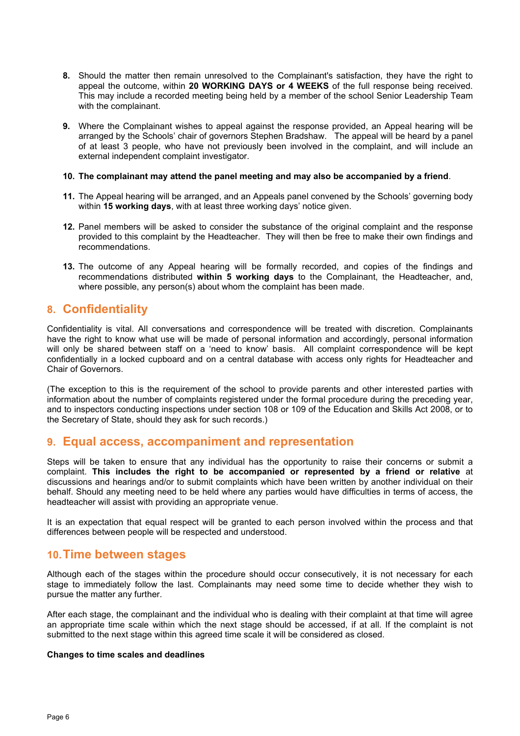- **8.** Should the matter then remain unresolved to the Complainant's satisfaction, they have the right to appeal the outcome, within **20 WORKING DAYS or 4 WEEKS** of the full response being received. This may include a recorded meeting being held by a member of the school Senior Leadership Team with the complainant.
- **9.** Where the Complainant wishes to appeal against the response provided, an Appeal hearing will be arranged by the Schools' chair of governors Stephen Bradshaw. The appeal will be heard by a panel of at least 3 people, who have not previously been involved in the complaint, and will include an external independent complaint investigator.

#### **10. The complainant may attend the panel meeting and may also be accompanied by a friend**.

- **11.** The Appeal hearing will be arranged, and an Appeals panel convened by the Schools' governing body within **15 working days**, with at least three working days' notice given.
- **12.** Panel members will be asked to consider the substance of the original complaint and the response provided to this complaint by the Headteacher. They will then be free to make their own findings and recommendations.
- **13.** The outcome of any Appeal hearing will be formally recorded, and copies of the findings and recommendations distributed **within 5 working days** to the Complainant, the Headteacher, and, where possible, any person(s) about whom the complaint has been made.

## **8. Confidentiality**

Confidentiality is vital. All conversations and correspondence will be treated with discretion. Complainants have the right to know what use will be made of personal information and accordingly, personal information will only be shared between staff on a 'need to know' basis. All complaint correspondence will be kept confidentially in a locked cupboard and on a central database with access only rights for Headteacher and Chair of Governors.

(The exception to this is the requirement of the school to provide parents and other interested parties with information about the number of complaints registered under the formal procedure during the preceding year, and to inspectors conducting inspections under section 108 or 109 of the Education and Skills Act 2008, or to the Secretary of State, should they ask for such records.)

## **9. Equal access, accompaniment and representation**

Steps will be taken to ensure that any individual has the opportunity to raise their concerns or submit a complaint. **This includes the right to be accompanied or represented by a friend or relative** at discussions and hearings and/or to submit complaints which have been written by another individual on their behalf. Should any meeting need to be held where any parties would have difficulties in terms of access, the headteacher will assist with providing an appropriate venue.

It is an expectation that equal respect will be granted to each person involved within the process and that differences between people will be respected and understood.

## **10.Time between stages**

Although each of the stages within the procedure should occur consecutively, it is not necessary for each stage to immediately follow the last. Complainants may need some time to decide whether they wish to pursue the matter any further.

After each stage, the complainant and the individual who is dealing with their complaint at that time will agree an appropriate time scale within which the next stage should be accessed, if at all. If the complaint is not submitted to the next stage within this agreed time scale it will be considered as closed.

## **Changes to time scales and deadlines**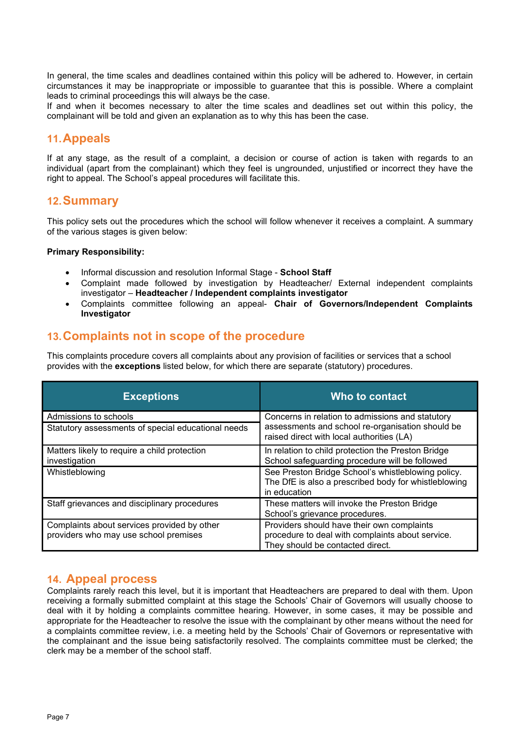In general, the time scales and deadlines contained within this policy will be adhered to. However, in certain circumstances it may be inappropriate or impossible to guarantee that this is possible. Where a complaint leads to criminal proceedings this will always be the case.

If and when it becomes necessary to alter the time scales and deadlines set out within this policy, the complainant will be told and given an explanation as to why this has been the case.

## **11.Appeals**

If at any stage, as the result of a complaint, a decision or course of action is taken with regards to an individual (apart from the complainant) which they feel is ungrounded, unjustified or incorrect they have the right to appeal. The School's appeal procedures will facilitate this.

## **12.Summary**

This policy sets out the procedures which the school will follow whenever it receives a complaint. A summary of the various stages is given below:

## **Primary Responsibility:**

- Informal discussion and resolution Informal Stage **School Staff**
- Complaint made followed by investigation by Headteacher/ External independent complaints investigator – **Headteacher / Independent complaints investigator**
- Complaints committee following an appeal- **Chair of Governors/Independent Complaints Investigator**

## **13.Complaints not in scope of the procedure**

This complaints procedure covers all complaints about any provision of facilities or services that a school provides with the **exceptions** listed below, for which there are separate (statutory) procedures.

| <b>Exceptions</b>                                                                    | Who to contact                                                                                                                                    |  |
|--------------------------------------------------------------------------------------|---------------------------------------------------------------------------------------------------------------------------------------------------|--|
| Admissions to schools                                                                | Concerns in relation to admissions and statutory<br>assessments and school re-organisation should be<br>raised direct with local authorities (LA) |  |
| Statutory assessments of special educational needs                                   |                                                                                                                                                   |  |
| Matters likely to require a child protection<br>investigation                        | In relation to child protection the Preston Bridge<br>School safeguarding procedure will be followed                                              |  |
| Whistleblowing                                                                       | See Preston Bridge School's whistleblowing policy.<br>The DfE is also a prescribed body for whistleblowing<br>in education                        |  |
| Staff grievances and disciplinary procedures                                         | These matters will invoke the Preston Bridge<br>School's grievance procedures.                                                                    |  |
| Complaints about services provided by other<br>providers who may use school premises | Providers should have their own complaints<br>procedure to deal with complaints about service.<br>They should be contacted direct.                |  |

## **14. Appeal process**

Complaints rarely reach this level, but it is important that Headteachers are prepared to deal with them. Upon receiving a formally submitted complaint at this stage the Schools' Chair of Governors will usually choose to deal with it by holding a complaints committee hearing. However, in some cases, it may be possible and appropriate for the Headteacher to resolve the issue with the complainant by other means without the need for a complaints committee review, i.e. a meeting held by the Schools' Chair of Governors or representative with the complainant and the issue being satisfactorily resolved. The complaints committee must be clerked; the clerk may be a member of the school staff.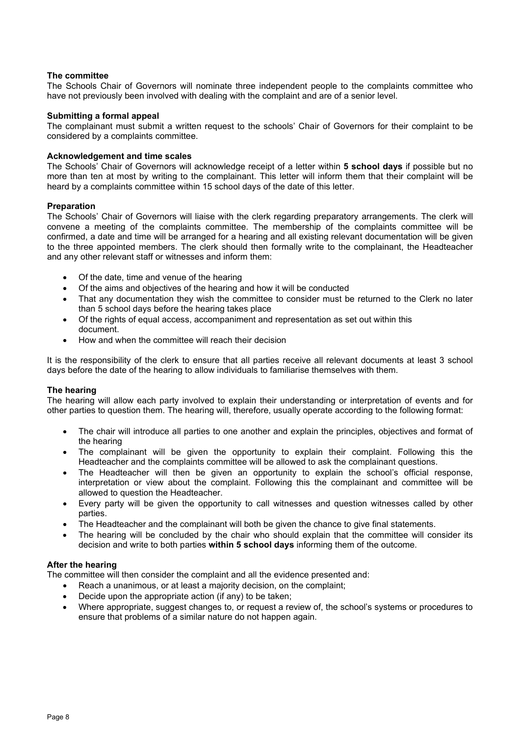## **The committee**

The Schools Chair of Governors will nominate three independent people to the complaints committee who have not previously been involved with dealing with the complaint and are of a senior level.

#### **Submitting a formal appeal**

The complainant must submit a written request to the schools' Chair of Governors for their complaint to be considered by a complaints committee.

#### **Acknowledgement and time scales**

The Schools' Chair of Governors will acknowledge receipt of a letter within **5 school days** if possible but no more than ten at most by writing to the complainant. This letter will inform them that their complaint will be heard by a complaints committee within 15 school days of the date of this letter.

#### **Preparation**

The Schools' Chair of Governors will liaise with the clerk regarding preparatory arrangements. The clerk will convene a meeting of the complaints committee. The membership of the complaints committee will be confirmed, a date and time will be arranged for a hearing and all existing relevant documentation will be given to the three appointed members. The clerk should then formally write to the complainant, the Headteacher and any other relevant staff or witnesses and inform them:

- Of the date, time and venue of the hearing
- Of the aims and objectives of the hearing and how it will be conducted
- That any documentation they wish the committee to consider must be returned to the Clerk no later than 5 school days before the hearing takes place
- Of the rights of equal access, accompaniment and representation as set out within this document.
- How and when the committee will reach their decision

It is the responsibility of the clerk to ensure that all parties receive all relevant documents at least 3 school days before the date of the hearing to allow individuals to familiarise themselves with them.

#### **The hearing**

The hearing will allow each party involved to explain their understanding or interpretation of events and for other parties to question them. The hearing will, therefore, usually operate according to the following format:

- The chair will introduce all parties to one another and explain the principles, objectives and format of the hearing
- The complainant will be given the opportunity to explain their complaint. Following this the Headteacher and the complaints committee will be allowed to ask the complainant questions.
- The Headteacher will then be given an opportunity to explain the school's official response, interpretation or view about the complaint. Following this the complainant and committee will be allowed to question the Headteacher.
- Every party will be given the opportunity to call witnesses and question witnesses called by other parties.
- The Headteacher and the complainant will both be given the chance to give final statements.
- The hearing will be concluded by the chair who should explain that the committee will consider its decision and write to both parties **within 5 school days** informing them of the outcome.

#### **After the hearing**

The committee will then consider the complaint and all the evidence presented and:

- Reach a unanimous, or at least a majority decision, on the complaint;
- Decide upon the appropriate action (if any) to be taken;
- Where appropriate, suggest changes to, or request a review of, the school's systems or procedures to ensure that problems of a similar nature do not happen again.